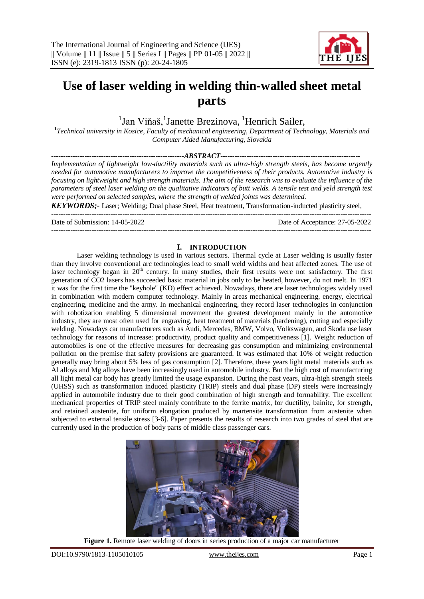---------------------------------------------------------------------------------------------------------------------------------------



# **Use of laser welding in welding thin-walled sheet metal parts**

<sup>1</sup>Jan Viňaš, <sup>1</sup>Janette Brezinova, <sup>1</sup>Henrich Sailer,

**1** *Technical university in Kosice, Faculty of mechanical engineering, Department of Technology, Materials and Computer Aided Manufacturing, Slovakia*

*--------------------------------------------------------ABSTRACT----------------------------------------------------------- Implementation of lightweight low-ductility materials such as ultra-high strength steels, has become urgently needed for automotive manufacturers to improve the competitiveness of their products. Automotive industry is focusing on lightweight and high strength materials. The aim of the research was to evaluate the influence of the parameters of steel laser welding on the qualitative indicators of butt welds. A tensile test and yeld strength test were performed on selected samples, where the strength of welded joints was determined.*

*KEYWORDS;-* Laser; Welding; Dual phase Steel, Heat treatment, Transformation-inducted plasticity steel, ---------------------------------------------------------------------------------------------------------------------------------------

Date of Submission: 14-05-2022 Date of Acceptance: 27-05-2022

### **I. INTRODUCTION**

Laser welding technology is used in various sectors. Thermal cycle at Laser welding is usually faster than they involve conventional arc technologies lead to small weld widths and heat affected zones. The use of laser technology began in 20<sup>th</sup> century. In many studies, their first results were not satisfactory. The first generation of CO2 lasers has succeeded basic material in jobs only to be heated, however, do not melt. In 1971 it was for the first time the "keyhole" (KD) effect achieved. Nowadays, there are laser technologies widely used in combination with modern computer technology. Mainly in areas mechanical engineering, energy, electrical engineering, medicine and the army. In mechanical engineering, they record laser technologies in conjunction with robotization enabling 5 dimensional movement the greatest development mainly in the automotive industry, they are most often used for engraving, heat treatment of materials (hardening), cutting and especially welding. Nowadays car manufacturers such as Audi, Mercedes, BMW, Volvo, Volkswagen, and Skoda use laser technology for reasons of increase: productivity, product quality and competitiveness [1]. Weight reduction of automobiles is one of the effective measures for decreasing gas consumption and minimizing environmental pollution on the premise that safety provisions are guaranteed. It was estimated that 10% of weight reduction generally may bring about 5% less of gas consumption [2]. Therefore, these years light metal materials such as Al alloys and Mg alloys have been increasingly used in automobile industry. But the high cost of manufacturing all light metal car body has greatly limited the usage expansion. During the past years, ultra-high strength steels (UHSS) such as transformation induced plasticity (TRIP) steels and dual phase (DP) steels were increasingly applied in automobile industry due to their good combination of high strength and formability. The excellent mechanical properties of TRIP steel mainly contribute to the ferrite matrix, for ductility, bainite, for strength, and retained austenite, for uniform elongation produced by martensite transformation from austenite when subjected to external tensile stress [3-6]. Paper presents the results of research into two grades of steel that are currently used in the production of body parts of middle class passenger cars.



Figure 1. Remote laser welding of doors in series production of a major car manufacturer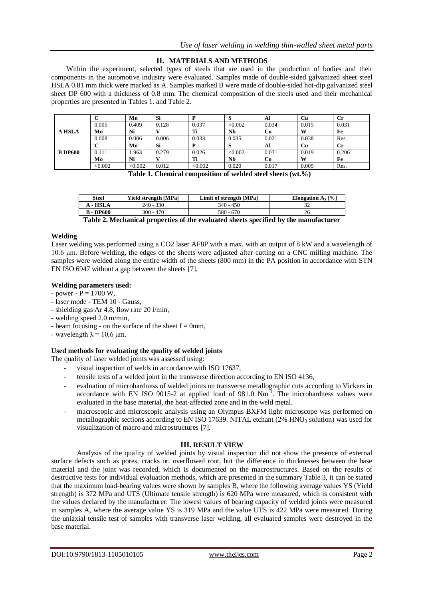# **II. MATERIALS AND METHODS**

Within the experiment, selected types of steels that are used in the production of bodies and their components in the automotive industry were evaluated. Samples made of double-sided galvanized sheet steel HSLA 0.81 mm thick were marked as A. Samples marked B were made of double-sided hot-dip galvanized steel sheet DP 600 with a thickness of 0.8 mm. The chemical composition of the steels used and their mechanical properties are presented in Tables 1. and Table 2.

|                |         | Mn      | Si    |         | P       | Al    | Сu    | Cr          |
|----------------|---------|---------|-------|---------|---------|-------|-------|-------------|
|                | 0.005   | 0.409   | 0.128 | 0.037   | < 0.002 | 0.034 | 0.015 | 0.031       |
| <b>A HSLA</b>  | Mo      | Ni      |       | Ti      | Nb      | Co    | W     | Fe          |
|                | 0.008   | 0.006   | 0.006 | 0.033   | 0.035   | 0.021 | 0.038 | Res.        |
|                |         | Mn      | Si    |         | ◡       | Al    | Cu    | $_{\rm Cr}$ |
| <b>B</b> DP600 | 0.111   | .963    | 0.279 | 0.026   | < 0.002 | 0.031 | 0.019 | 0.206       |
|                | Mo      | Ni      |       | Ti      | Nb      | Co    | W     | Fe          |
|                | < 0.002 | < 0.002 | 0.012 | < 0.002 | 0.020   | 0.017 | 0.005 | Res.        |

**Table 1. Chemical composition of welded steel sheets (wt.%)**

| Steel            | Yield strength [MPa] | Limit of strength [MPa] | Elongation $A_5$ [%] |
|------------------|----------------------|-------------------------|----------------------|
| <b>A</b> - HSLA  | 240 - 330            | $340 - 450$             |                      |
| <b>B</b> - DP600 | 300 - 470            | 580 - 670               | 26                   |
|                  | __                   |                         | .                    |

### **Welding**

Laser welding was performed using a CO2 laser AF8P with a max. with an output of 8 kW and a wavelength of 10.6 μm. Before welding, the edges of the sheets were adjusted after cutting on a CNC milling machine. The samples were welded along the entire width of the sheets (800 mm) in the PA position in accordance with STN EN ISO 6947 without a gap between the sheets [7].

### **Welding parameters used:**

- $-power P = 1700 W$ ,
- laser mode TEM 10 Gauss,
- shielding gas Ar 4.8, flow rate 20 l/min,
- welding speed 2.0 m/min,
- beam focusing on the surface of the sheet  $f = 0$ mm,
- wavelength  $\lambda$  = 10,6  $\mu$ m.

# **Used methods for evaluating the quality of welded joints**

The quality of laser welded joints was assessed using:

- visual inspection of welds in accordance with ISO 17637,
- tensile tests of a welded joint in the transverse direction according to EN ISO 4136,
- evaluation of microhardness of welded joints on transverse metallographic cuts according to Vickers in accordance with EN ISO 9015-2 at applied load of 981.0  $Nm^{-1}$ . The microhardness values were evaluated in the base material, the heat-affected zone and in the weld metal.
- macroscopic and microscopic analysis using an Olympus BXFM light microscope was performed on metallographic sections according to EN ISO 17639. NITAL etchant  $(2\%$  HNO<sub>3</sub> solution) was used for visualization of macro and microstructures [7].

# **III. RESULT VIEW**

Analysis of the quality of welded joints by visual inspection did not show the presence of external surface defects such as pores, cracks or. overflowed root, but the difference in thicknesses between the base material and the joint was recorded, which is documented on the macrostructures. Based on the results of destructive tests for individual evaluation methods, which are presented in the summary Table 3, it can be stated that the maximum load-bearing values were shown by samples B, where the following average values YS (Yield strength) is 372 MPa and UTS (Ultimate tensile strength) is 620 MPa were measured, which is consistent with the values declared by the manufacturer. The lowest values of bearing capacity of welded joints were measured in samples A, where the average value YS is 319 MPa and the value UTS is 422 MPa were measured. During the uniaxial tensile test of samples with transverse laser welding, all evaluated samples were destroyed in the base material.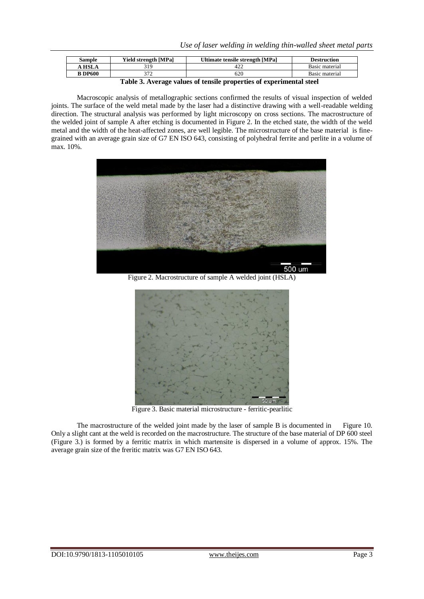*Use of laser welding in welding thin-walled sheet metal parts*

| Sample         | <b>Yield strength [MPa]</b> | Ultimate tensile strength [MPa] | <b>Destruction</b> |
|----------------|-----------------------------|---------------------------------|--------------------|
| <b>A HSLA</b>  | 31 Q                        | 422                             | Basic material     |
| <b>B</b> DP600 | 272                         | 620                             | Basic material     |

**Table 3. Average values of tensile properties of experimental steel**

Macroscopic analysis of metallographic sections confirmed the results of visual inspection of welded joints. The surface of the weld metal made by the laser had a distinctive drawing with a well-readable welding direction. The structural analysis was performed by light microscopy on cross sections. The macrostructure of the welded joint of sample A after etching is documented in Figure 2. In the etched state, the width of the weld metal and the width of the heat-affected zones, are well legible. The microstructure of the base material is finegrained with an average grain size of G7 EN ISO 643, consisting of polyhedral ferrite and perlite in a volume of max. 10%.



Figure 2. Macrostructure of sample A welded joint (HSLA)



Figure 3. Basic material microstructure - ferritic-pearlitic

The macrostructure of the welded joint made by the laser of sample B is documented in Figure 10. Only a slight cant at the weld is recorded on the macrostructure. The structure of the base material of DP 600 steel (Figure 3.) is formed by a ferritic matrix in which martensite is dispersed in a volume of approx. 15%. The average grain size of the freritic matrix was G7 EN ISO 643.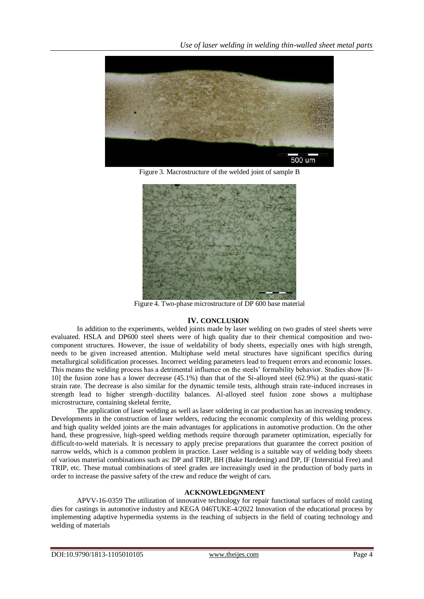

Figure 3. Macrostructure of the welded joint of sample B



Figure 4. Two-phase microstructure of DP 600 base material

# **IV. CONCLUSION**

In addition to the experiments, welded joints made by laser welding on two grades of steel sheets were evaluated. HSLA and DP600 steel sheets were of high quality due to their chemical composition and twocomponent structures. However, the issue of weldability of body sheets, especially ones with high strength, needs to be given increased attention. Multiphase weld metal structures have significant specifics during metallurgical solidification processes. Incorrect welding parameters lead to frequent errors and economic losses. This means the welding process has a detrimental influence on the steels' formability behavior. Studies show [8- 10] the fusion zone has a lower decrease (45.1%) than that of the Si-alloyed steel (62.9%) at the quasi-static strain rate. The decrease is also similar for the dynamic tensile tests, although strain rate-induced increases in strength lead to higher strength–ductility balances. Al-alloyed steel fusion zone shows a multiphase microstructure, containing skeletal ferrite,

The application of laser welding as well as laser soldering in car production has an increasing tendency. Developments in the construction of laser welders, reducing the economic complexity of this welding process and high quality welded joints are the main advantages for applications in automotive production. On the other hand, these progressive, high-speed welding methods require thorough parameter optimization, especially for difficult-to-weld materials. It is necessary to apply precise preparations that guarantee the correct position of narrow welds, which is a common problem in practice. Laser welding is a suitable way of welding body sheets of various material combinations such as: DP and TRIP, BH (Bake Hardening) and DP, IF (Interstitial Free) and TRIP, etc. These mutual combinations of steel grades are increasingly used in the production of body parts in order to increase the passive safety of the crew and reduce the weight of cars.

#### **ACKNOWLEDGNMENT**

APVV-16-0359 The utilization of innovative technology for repair functional surfaces of mold casting dies for castings in automotive industry and KEGA 046TUKE-4/2022 Innovation of the educational process by implementing adaptive hypermedia systems in the teaching of subjects in the field of coating technology and welding of materials